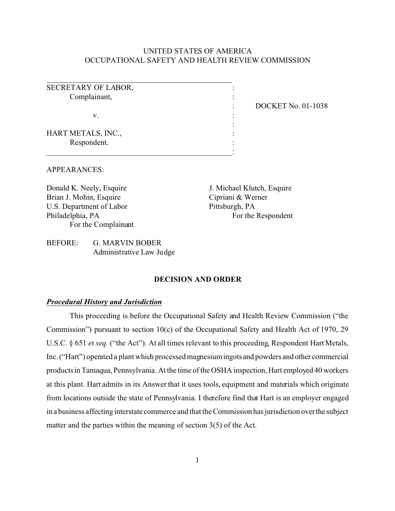## UNITED STATES OF AMERICA OCCUPATIONAL SAFETY AND HEALTH REVIEW COMMISSION

SECRETARY OF LABOR,  $\cdot$ Complainant, :

\_\_\_\_\_\_\_\_\_\_\_\_\_\_\_\_\_\_\_\_\_\_\_\_\_\_\_\_\_\_\_\_\_\_\_\_\_\_\_\_\_\_\_\_\_\_\_\_

\_\_\_\_\_\_\_\_\_\_\_\_\_\_\_\_\_\_\_\_\_\_\_\_\_\_\_\_\_\_\_\_\_\_\_\_\_\_\_\_\_\_\_\_\_\_\_\_:

 $\mathbf{v}$ .  $\mathbf{v}$  :

: DOCKET No. 01-1038

HART METALS, INC., Respondent.

### APPEARANCES:

Donald K. Neely, Esquire Brian J. Mohin, Esquire U.S. Department of Labor Philadelphia, PA For the Complainant J. Michael Klutch, Esquire Cipriani & Werner Pittsburgh, PA For the Respondent

:

## BEFORE: G. MARVIN BOBER Administrative Law Judge

#### **DECISION AND ORDER**

#### *Procedural History and Jurisdiction*

This proceeding is before the Occupational Safety and Health Review Commission ("the Commission") pursuant to section 10(c) of the Occupational Safety and Health Act of 1970, 29 U.S.C. § 651 *et seq.* ("the Act"). At all times relevant to this proceeding, Respondent Hart Metals, Inc. ("Hart") operated a plant which processed magnesium ingots and powders and other commercial products in Tamaqua, Pennsylvania. At the time of the OSHA inspection, Hart employed 40 workers at this plant. Hart admits in its Answer that it uses tools, equipment and materials which originate from locations outside the state of Pennsylvania. I therefore find that Hart is an employer engaged in a business affecting interstate commerce and that the Commission has jurisdiction over the subject matter and the parties within the meaning of section 3(5) of the Act.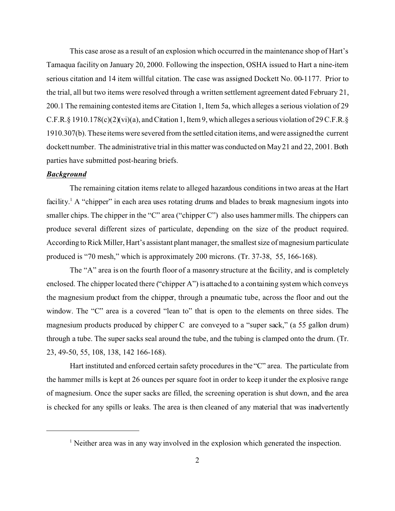This case arose as a result of an explosion which occurred in the maintenance shop of Hart's Tamaqua facility on January 20, 2000. Following the inspection, OSHA issued to Hart a nine-item serious citation and 14 item willful citation. The case was assigned Dockett No. 00-1177. Prior to the trial, all but two items were resolved through a written settlement agreement dated February 21, 200.1 The remaining contested items are Citation 1, Item 5a, which alleges a serious violation of 29 C.F.R.§ 1910.178(c)(2)(vi)(a), and Citation 1, Item 9, which alleges a serious violation of 29 C.F.R.§ 1910.307(b). These items were severed from the settled citation items, and were assigned the current dockett number. The administrative trial in this matter was conducted on May 21 and 22, 2001. Both parties have submitted post-hearing briefs.

#### *Background*

The remaining citation items relate to alleged hazardous conditions in two areas at the Hart facility.<sup>1</sup> A "chipper" in each area uses rotating drums and blades to break magnesium ingots into smaller chips. The chipper in the "C" area ("chipper C") also uses hammer mills. The chippers can produce several different sizes of particulate, depending on the size of the product required. According to Rick Miller, Hart's assistant plant manager, the smallest size of magnesium particulate produced is "70 mesh," which is approximately 200 microns. (Tr. 37-38, 55, 166-168).

The "A" area is on the fourth floor of a masonry structure at the facility, and is completely enclosed. The chipper located there ("chipper A") is attached to a containing system which conveys the magnesium product from the chipper, through a pneumatic tube, across the floor and out the window. The "C" area is a covered "lean to" that is open to the elements on three sides. The magnesium products produced by chipper C are conveyed to a "super sack," (a 55 gallon drum) through a tube. The super sacks seal around the tube, and the tubing is clamped onto the drum. (Tr. 23, 49-50, 55, 108, 138, 142 166-168).

Hart instituted and enforced certain safety procedures in the "C" area. The particulate from the hammer mills is kept at 26 ounces per square foot in order to keep it under the explosive range of magnesium. Once the super sacks are filled, the screening operation is shut down, and the area is checked for any spills or leaks. The area is then cleaned of any material that was inadvertently

<sup>&</sup>lt;sup>1</sup> Neither area was in any way involved in the explosion which generated the inspection.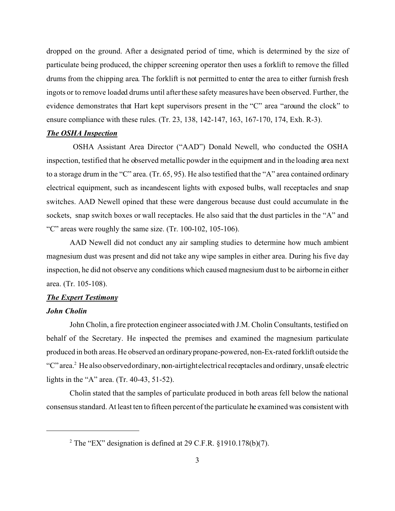dropped on the ground. After a designated period of time, which is determined by the size of particulate being produced, the chipper screening operator then uses a forklift to remove the filled drums from the chipping area. The forklift is not permitted to enter the area to either furnish fresh ingots or to remove loaded drums until after these safety measures have been observed. Further, the evidence demonstrates that Hart kept supervisors present in the "C" area "around the clock" to ensure compliance with these rules. (Tr. 23, 138, 142-147, 163, 167-170, 174, Exh. R-3).

#### *The OSHA Inspection*

OSHA Assistant Area Director ("AAD") Donald Newell, who conducted the OSHA inspection, testified that he observed metallic powder in the equipment and in the loading area next to a storage drum in the "C" area. (Tr. 65, 95). He also testified that the "A" area contained ordinary electrical equipment, such as incandescent lights with exposed bulbs, wall receptacles and snap switches. AAD Newell opined that these were dangerous because dust could accumulate in the sockets, snap switch boxes or wall receptacles. He also said that the dust particles in the "A" and "C" areas were roughly the same size. (Tr. 100-102, 105-106).

AAD Newell did not conduct any air sampling studies to determine how much ambient magnesium dust was present and did not take any wipe samples in either area. During his five day inspection, he did not observe any conditions which caused magnesium dust to be airborne in either area. (Tr. 105-108).

#### *The Expert Testimony*

#### *John Cholin*

John Cholin, a fire protection engineer associated with J.M. Cholin Consultants, testified on behalf of the Secretary. He inspected the premises and examined the magnesium particulate produced in both areas. He observed an ordinary propane-powered, non-Ex-rated forklift outside the "C" area.<sup>2</sup> He also observed ordinary, non-airtightelectrical receptacles and ordinary, unsafe electric lights in the "A" area. (Tr. 40-43, 51-52).

Cholin stated that the samples of particulate produced in both areas fell below the national consensus standard. At least ten to fifteen percent of the particulate he examined was consistent with

<sup>&</sup>lt;sup>2</sup> The "EX" designation is defined at 29 C.F.R.  $\S$ 1910.178(b)(7).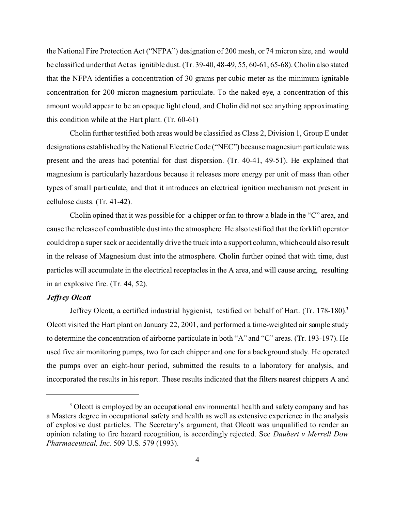the National Fire Protection Act ("NFPA") designation of 200 mesh, or 74 micron size, and would be classified underthat Act as ignitible dust. (Tr. 39-40, 48-49, 55, 60-61, 65-68). Cholin also stated that the NFPA identifies a concentration of 30 grams per cubic meter as the minimum ignitable concentration for 200 micron magnesium particulate. To the naked eye, a concentration of this amount would appear to be an opaque light cloud, and Cholin did not see anything approximating this condition while at the Hart plant. (Tr. 60-61)

Cholin further testified both areas would be classified as Class 2, Division 1, Group E under designations established by the National Electric Code ("NEC") because magnesium particulate was present and the areas had potential for dust dispersion. (Tr. 40-41, 49-51). He explained that magnesium is particularly hazardous because it releases more energy per unit of mass than other types of small particulate, and that it introduces an electrical ignition mechanism not present in cellulose dusts. (Tr. 41-42).

Cholin opined that it was possible for a chipper or fan to throw a blade in the "C" area, and cause the release of combustible dust into the atmosphere. He also testified that the forklift operator could drop a super sack or accidentally drive the truck into a support column, which could also result in the release of Magnesium dust into the atmosphere. Cholin further opined that with time, dust particles will accumulate in the electrical receptacles in the A area, and will cause arcing, resulting in an explosive fire. (Tr. 44, 52).

## *Jeffrey Olcott*

Jeffrey Olcott, a certified industrial hygienist, testified on behalf of Hart. (Tr. 178-180). 3 Olcott visited the Hart plant on January 22, 2001, and performed a time-weighted air sample study to determine the concentration of airborne particulate in both "A" and "C" areas. (Tr. 193-197). He used five air monitoring pumps, two for each chipper and one for a background study. He operated the pumps over an eight-hour period, submitted the results to a laboratory for analysis, and incorporated the results in his report. These results indicated that the filters nearest chippers A and

<sup>&</sup>lt;sup>3</sup> Olcott is employed by an occupational environmental health and safety company and has a Masters degree in occupational safety and health as well as extensive experience in the analysis of explosive dust particles. The Secretary's argument, that Olcott was unqualified to render an opinion relating to fire hazard recognition, is accordingly rejected. See *Daubert v Merrell Dow Pharmaceutical, Inc.* 509 U.S. 579 (1993).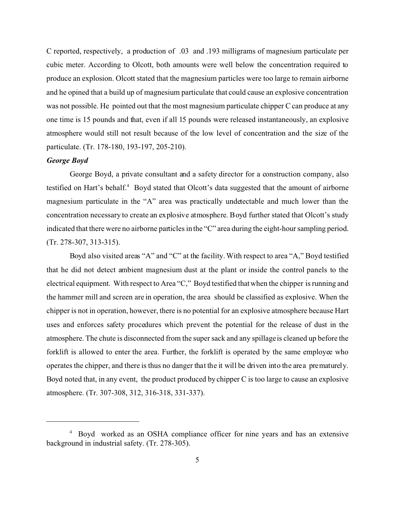C reported, respectively, a production of .03 and .193 milligrams of magnesium particulate per cubic meter. According to Olcott, both amounts were well below the concentration required to produce an explosion. Olcott stated that the magnesium particles were too large to remain airborne and he opined that a build up of magnesium particulate that could cause an explosive concentration was not possible. He pointed out that the most magnesium particulate chipper C can produce at any one time is 15 pounds and that, even if all 15 pounds were released instantaneously, an explosive atmosphere would still not result because of the low level of concentration and the size of the particulate. (Tr. 178-180, 193-197, 205-210).

#### *George Boyd*

George Boyd, a private consultant and a safety director for a construction company, also testified on Hart's behalf.<sup>4</sup> Boyd stated that Olcott's data suggested that the amount of airborne magnesium particulate in the "A" area was practically undetectable and much lower than the concentration necessary to create an explosive atmosphere. Boyd further stated that Olcott's study indicated that there were no airborne particles in the "C" area during the eight-hour sampling period. (Tr. 278-307, 313-315).

Boyd also visited areas "A" and "C" at the facility. With respect to area "A," Boyd testified that he did not detect ambient magnesium dust at the plant or inside the control panels to the electrical equipment. With respect to Area "C," Boyd testified that when the chipper is running and the hammer mill and screen are in operation, the area should be classified as explosive. When the chipper is not in operation, however, there is no potential for an explosive atmosphere because Hart uses and enforces safety procedures which prevent the potential for the release of dust in the atmosphere. The chute is disconnected from the super sack and any spillage is cleaned up before the forklift is allowed to enter the area. Further, the forklift is operated by the same employee who operates the chipper, and there is thus no danger that the it will be driven into the area prematurely. Boyd noted that, in any event, the product produced by chipper C is too large to cause an explosive atmosphere. (Tr. 307-308, 312, 316-318, 331-337).

<sup>4</sup> Boyd worked as an OSHA compliance officer for nine years and has an extensive background in industrial safety. (Tr. 278-305).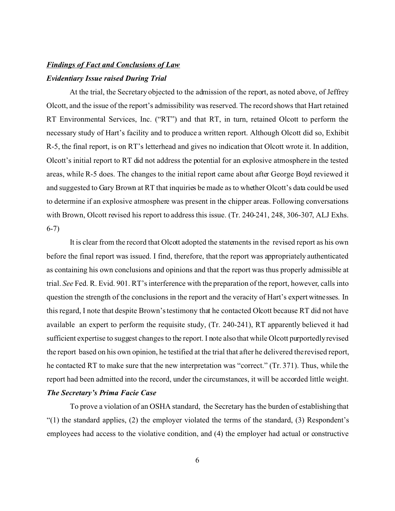# *Findings of Fact and Conclusions of Law Evidentiary Issue raised During Trial*

At the trial, the Secretary objected to the admission of the report, as noted above, of Jeffrey Olcott, and the issue of the report's admissibility was reserved. The record shows that Hart retained RT Environmental Services, Inc. ("RT") and that RT, in turn, retained Olcott to perform the necessary study of Hart's facility and to produce a written report. Although Olcott did so, Exhibit R-5, the final report, is on RT's letterhead and gives no indication that Olcott wrote it. In addition, Olcott's initial report to RT did not address the potential for an explosive atmosphere in the tested areas, while R-5 does. The changes to the initial report came about after George Boyd reviewed it and suggested to Gary Brown at RT that inquiries be made as to whether Olcott's data could be used to determine if an explosive atmosphere was present in the chipper areas. Following conversations with Brown, Olcott revised his report to address this issue. (Tr. 240-241, 248, 306-307, ALJ Exhs. 6-7)

It is clear from the record that Olcott adopted the statements in the revised report as his own before the final report was issued. I find, therefore, that the report was appropriately authenticated as containing his own conclusions and opinions and that the report was thus properly admissible at trial. *See* Fed. R. Evid. 901. RT's interference with the preparation of the report, however, calls into question the strength of the conclusions in the report and the veracity of Hart's expert witnesses. In this regard, I note that despite Brown's testimony that he contacted Olcott because RT did not have available an expert to perform the requisite study, (Tr. 240-241), RT apparently believed it had sufficient expertise to suggest changes to the report. I note also that while Olcott purportedly revised the report based on his own opinion, he testified at the trial that after he delivered the revised report, he contacted RT to make sure that the new interpretation was "correct." (Tr. 371). Thus, while the report had been admitted into the record, under the circumstances, it will be accorded little weight. *The Secretary's Prima Facie Case* 

To prove a violation of an OSHA standard, the Secretary has the burden of establishing that "(1) the standard applies, (2) the employer violated the terms of the standard, (3) Respondent's employees had access to the violative condition, and (4) the employer had actual or constructive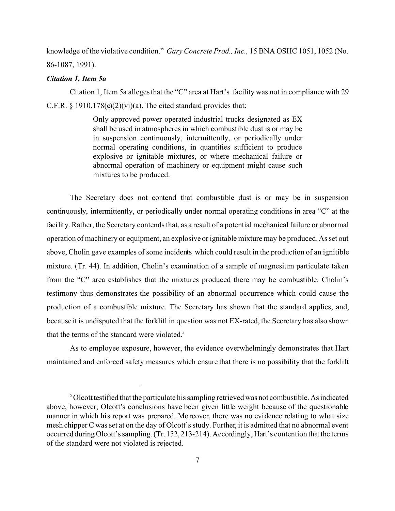knowledge of the violative condition." *Gary Concrete Prod., Inc.,* 15 BNA OSHC 1051, 1052 (No. 86-1087, 1991).

## *Citation 1, Item 5a*

Citation 1, Item 5a alleges that the "C" area at Hart's facility was not in compliance with 29 C.F.R.  $\S$  1910.178(c)(2)(vi)(a). The cited standard provides that:

> Only approved power operated industrial trucks designated as EX shall be used in atmospheres in which combustible dust is or may be in suspension continuously, intermittently, or periodically under normal operating conditions, in quantities sufficient to produce explosive or ignitable mixtures, or where mechanical failure or abnormal operation of machinery or equipment might cause such mixtures to be produced.

The Secretary does not contend that combustible dust is or may be in suspension continuously, intermittently, or periodically under normal operating conditions in area "C" at the facility. Rather, the Secretary contends that, as a result of a potential mechanical failure or abnormal operation of machinery or equipment, an explosive or ignitable mixture may be produced. As set out above, Cholin gave examples of some incidents which could result in the production of an ignitible mixture. (Tr. 44). In addition, Cholin's examination of a sample of magnesium particulate taken from the "C" area establishes that the mixtures produced there may be combustible. Cholin's testimony thus demonstrates the possibility of an abnormal occurrence which could cause the production of a combustible mixture. The Secretary has shown that the standard applies, and, because it is undisputed that the forklift in question was not EX-rated, the Secretary has also shown that the terms of the standard were violated.<sup>5</sup>

As to employee exposure, however, the evidence overwhelmingly demonstrates that Hart maintained and enforced safety measures which ensure that there is no possibility that the forklift

 $5$  Olcott testified that the particulate his sampling retrieved was not combustible. As indicated above, however, Olcott's conclusions have been given little weight because of the questionable manner in which his report was prepared. Moreover, there was no evidence relating to what size mesh chipper C was set at on the day of Olcott's study. Further, it is admitted that no abnormal event occurred during Olcott's sampling. (Tr. 152, 213-214). Accordingly, Hart's contention that the terms of the standard were not violated is rejected.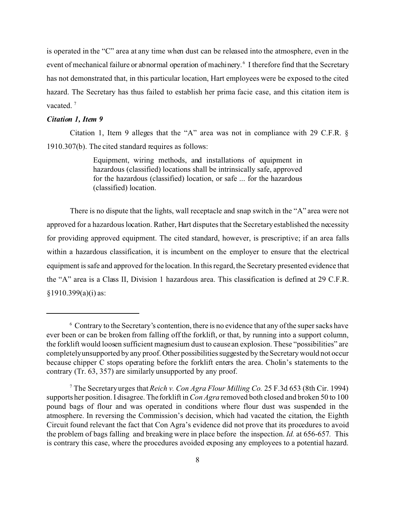is operated in the "C" area at any time when dust can be released into the atmosphere, even in the event of mechanical failure or abnormal operation of machinery.<sup>6</sup> I therefore find that the Secretary has not demonstrated that, in this particular location, Hart employees were be exposed to the cited hazard. The Secretary has thus failed to establish her prima facie case, and this citation item is vacated. $7$ 

#### *Citation 1, Item 9*

Citation 1, Item 9 alleges that the "A" area was not in compliance with 29 C.F.R. § 1910.307(b). The cited standard requires as follows:

> Equipment, wiring methods, and installations of equipment in hazardous (classified) locations shall be intrinsically safe, approved for the hazardous (classified) location, or safe ... for the hazardous (classified) location.

There is no dispute that the lights, wall receptacle and snap switch in the "A" area were not approved for a hazardous location. Rather, Hart disputes that the Secretary established the necessity for providing approved equipment. The cited standard, however, is prescriptive; if an area falls within a hazardous classification, it is incumbent on the employer to ensure that the electrical equipment is safe and approved for the location. In this regard, the Secretary presented evidence that the "A" area is a Class II, Division 1 hazardous area. This classification is defined at 29 C.F.R.  $§1910.399(a)(i)$  as:

 $6$  Contrary to the Secretary's contention, there is no evidence that any of the super sacks have ever been or can be broken from falling off the forklift, or that, by running into a support column, the forklift would loosen sufficient magnesium dust to cause an explosion. These "possibilities" are completelyunsupported by any proof. Other possibilities suggested by the Secretary would not occur because chipper C stops operating before the forklift enters the area. Cholin's statements to the contrary (Tr. 63, 357) are similarly unsupported by any proof.

<sup>7</sup> The Secretary urges that *Reich v. Con Agra Flour Milling Co.* 25 F.3d 653 (8th Cir. 1994) supports her position. I disagree. The forklift in *Con Agra* removed both closed and broken 50 to 100 pound bags of flour and was operated in conditions where flour dust was suspended in the atmosphere. In reversing the Commission's decision, which had vacated the citation, the Eighth Circuit found relevant the fact that Con Agra's evidence did not prove that its procedures to avoid the problem of bags falling and breaking were in place before the inspection. *Id.* at 656-657*.* This is contrary this case, where the procedures avoided exposing any employees to a potential hazard.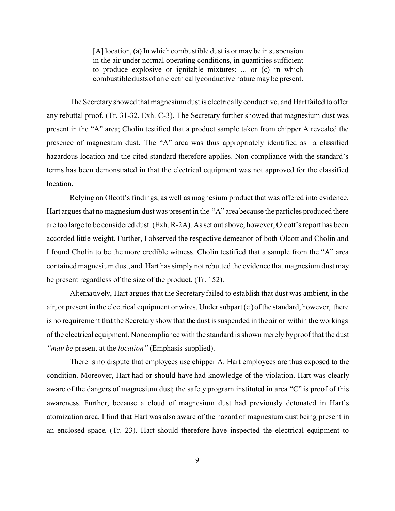[A] location, (a) In which combustible dust is or may be in suspension in the air under normal operating conditions, in quantities sufficient to produce explosive or ignitable mixtures; ... or (c) in which combustible dusts of an electricallyconductive nature may be present.

The Secretary showed that magnesium dust is electrically conductive, and Hart failed to offer any rebuttal proof. (Tr. 31-32, Exh. C-3). The Secretary further showed that magnesium dust was present in the "A" area; Cholin testified that a product sample taken from chipper A revealed the presence of magnesium dust. The "A" area was thus appropriately identified as a classified hazardous location and the cited standard therefore applies. Non-compliance with the standard's terms has been demonstrated in that the electrical equipment was not approved for the classified location.

Relying on Olcott's findings, as well as magnesium product that was offered into evidence, Hart argues that no magnesium dust was present in the "A" area because the particles produced there are too large to be considered dust. (Exh. R-2A). As set out above, however, Olcott's report has been accorded little weight. Further, I observed the respective demeanor of both Olcott and Cholin and I found Cholin to be the more credible witness. Cholin testified that a sample from the "A" area contained magnesium dust, and Hart has simply not rebutted the evidence that magnesium dust may be present regardless of the size of the product. (Tr. 152).

Alternatively, Hart argues that the Secretary failed to establish that dust was ambient, in the air, or present in the electrical equipment or wires. Under subpart (c ) of the standard, however, there is no requirement that the Secretary show that the dust is suspended in the air or within the workings of the electrical equipment. Noncompliance with the standard is shown merely byproof that the dust *"may be* present at the *location"* (Emphasis supplied).

There is no dispute that employees use chipper A. Hart employees are thus exposed to the condition. Moreover, Hart had or should have had knowledge of the violation. Hart was clearly aware of the dangers of magnesium dust; the safety program instituted in area "C" is proof of this awareness. Further, because a cloud of magnesium dust had previously detonated in Hart's atomization area, I find that Hart was also aware of the hazard of magnesium dust being present in an enclosed space. (Tr. 23). Hart should therefore have inspected the electrical equipment to